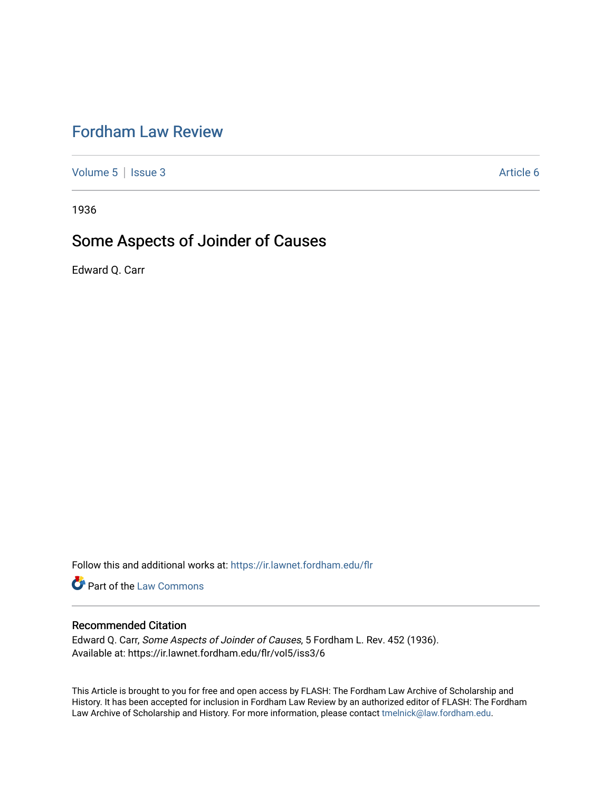# [Fordham Law Review](https://ir.lawnet.fordham.edu/flr)

[Volume 5](https://ir.lawnet.fordham.edu/flr/vol5) | [Issue 3](https://ir.lawnet.fordham.edu/flr/vol5/iss3) Article 6

1936

# Some Aspects of Joinder of Causes

Edward Q. Carr

Follow this and additional works at: [https://ir.lawnet.fordham.edu/flr](https://ir.lawnet.fordham.edu/flr?utm_source=ir.lawnet.fordham.edu%2Fflr%2Fvol5%2Fiss3%2F6&utm_medium=PDF&utm_campaign=PDFCoverPages)

Part of the [Law Commons](http://network.bepress.com/hgg/discipline/578?utm_source=ir.lawnet.fordham.edu%2Fflr%2Fvol5%2Fiss3%2F6&utm_medium=PDF&utm_campaign=PDFCoverPages)

#### Recommended Citation

Edward Q. Carr, Some Aspects of Joinder of Causes, 5 Fordham L. Rev. 452 (1936). Available at: https://ir.lawnet.fordham.edu/flr/vol5/iss3/6

This Article is brought to you for free and open access by FLASH: The Fordham Law Archive of Scholarship and History. It has been accepted for inclusion in Fordham Law Review by an authorized editor of FLASH: The Fordham Law Archive of Scholarship and History. For more information, please contact [tmelnick@law.fordham.edu](mailto:tmelnick@law.fordham.edu).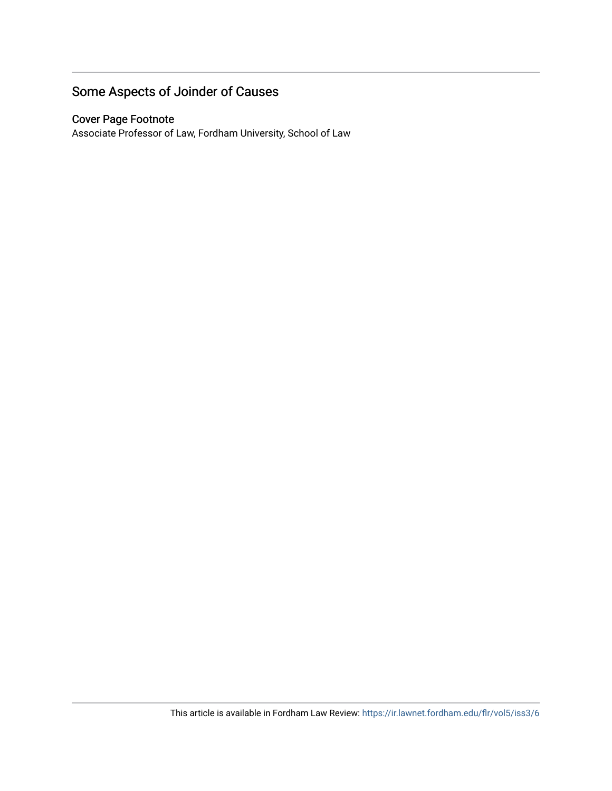# Some Aspects of Joinder of Causes

## Cover Page Footnote

Associate Professor of Law, Fordham University, School of Law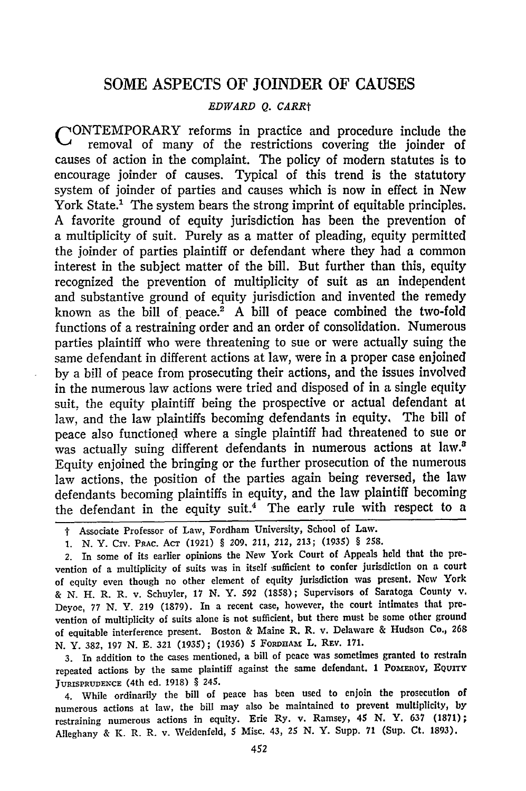### SOME ASPECTS OF JOINDER OF CAUSES

#### *EDWARD Q. CARRt*

CONTEMPORARY reforms in practice and procedure include the removal of many of the restrictions covering the joinder of causes of action in the complaint. The policy of modern statutes is to encourage joinder of causes. Typical of this trend is the statutory system of joinder of parties and causes which is now in effect in New York State.' The system bears the strong imprint of equitable principles. A favorite ground of equity jurisdiction has been the prevention of a multiplicity of suit. Purely as a matter of pleading, equity permitted the joinder of parties plaintiff or defendant where they had a common interest in the subject matter of the bill. But further than this, equity recognized the prevention of multiplicity of suit as an independent and substantive ground of equity jurisdiction and invented the remedy known as the bill of peace.<sup>2</sup> A bill of peace combined the two-fold functions of a restraining order and an order of consolidation. Numerous parties plaintiff who were threatening to sue or were actually suing the same defendant in different actions at law, were in a proper case enjoined by a bill of peace from prosecuting their actions, and the issues involved in the numerous law actions were tried and disposed of in a single equity suit, the equity plaintiff being the prospective or actual defendant at law, and the law plaintiffs becoming defendants in equity, The bill of peace also functioned where a single plaintiff had threatened to sue or was actually suing different defendants in numerous actions at law.<sup>2</sup> Equity enjoined the bringing or the further prosecution of the numerous law actions, the position of the parties again being reversed, the law defendants becoming plaintiffs in equity, and the law plaintiff becoming the defendant in the equity suit.<sup>4</sup> The early rule with respect to a

t Associate Professor of Law, Fordham University, School of Law.

*1.* **N.** Y. **CIV. PRAC. AcT (1921)** § 209, 211, 212, 213; (1935) § 258.

2. In some of its earlier opinions the New York Court of Appeals held that the prevention of a multiplicity of suits was in itself sufficient to confer jurisdiction on a court of equity even though no other element of equity jurisdiction was present, New York **&** N. H. R. R. v. Schuyler, 17 N. Y. 592 (1858); Supervisors of Saratoga County v. Deyoe, 77 N. Y. 219 (1879). In a recent case, however, the court intimates that prevention of multiplicity of suits alone is not sufficient, but there must be some other ground of equitable interference present. Boston **&** Maine R. R. v. Delaware & Hudson Co., 263 N. Y. 382, 197 N. E. 321 (1935); (1936) *5* FORDHAx L. **REV. 171.**

3. In addition to the cases mentioned, a bill of peace was sometimes granted to restrain repeated actions by the same plaintiff against the same defendant. 1 PoMERoY, EQuITY JURISPRUDENCE (4th ed. 1918) § 245.

4. While ordinarily the bill of peace has been used to enjoin the prosecution of numerous actions at law, the bill may also be maintained to prevent multiplicity, by restraining numerous actions in equity. Erie Ry. v. Ramsey, 45 N. Y. 637 (1871); Alleghany & K. R. R. v. Weidenfeld, 5 Misc. 43, 25 N. Y. Supp. 71 (Sup. Ct. 1893).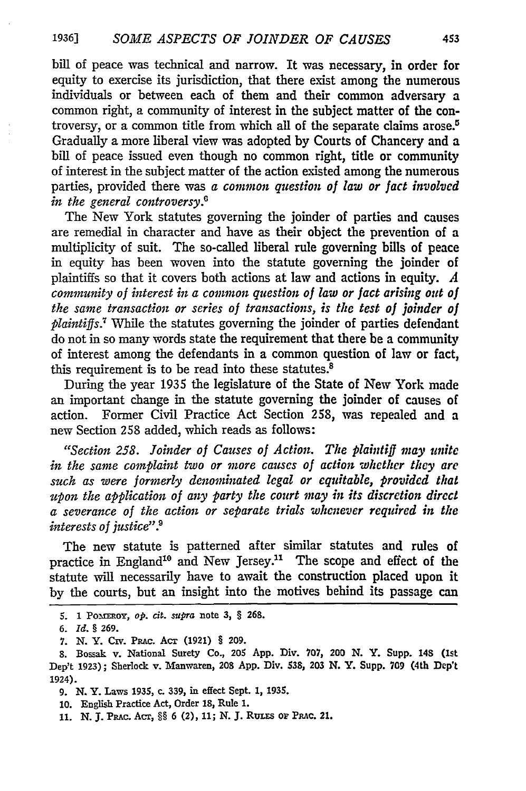bill of peace was technical and narrow. It was necessary, in order for equity to exercise its jurisdiction, that there exist among the numerous individuals or between each of them and their common adversary a common right, a community of interest in the subject matter of the controversy, or a common title from which all of the separate claims arose.5 Gradually a more liberal view was adopted by Courts of Chancery and a bill of peace issued even though no common right, title or community of interest in the subject matter of the action existed among the numerous parties, provided there was *a common question of law or fact involved in the general controversy.0*

The New York statutes governing the joinder of parties and causes are remedial in character and have as their object the prevention of a multiplicity of suit. The so-called liberal rule governing bills of peace in equity has been woven into the statute governing the joinder of plaintiffs so that it covers both actions at law and actions in equity. *A community of interest in a common question of law or fact arising out of the same transaction or series of transactions, is the test of joinder of plaintiffs.7* While the statutes governing the joinder of parties defendant do not in so many words state the requirement that there be a community of interest among the defendants in a common question of law or fact, this requirement is to be read into these statutes.<sup>8</sup>

During the year 1935 the legislature of the State of New York made an important change in the statute governing the joinder of causes of action. Former Civil Practice Act Section 258, was repealed and a new Section 258 added, which reads as follows:

*"Section 258. Joinder of Causes of Action. The plaintiff may unite in the same complaint two or more causes of action whether they are such as were formerly denominated legal or equitable, provided that upon the application of any party the court may in its discretion direct a severance of the action or separate trials whenever required in the interests of justice*".<sup>9</sup>

The new statute is patterned after similar statutes and rules of practice in England<sup>10</sup> and New Jersey.<sup>11</sup> The scope and effect of the statute will necessarily have to await the construction placed upon it **by** the courts, but an insight into the motives behind its passage can

**<sup>5.</sup>** 1 Po~maoy, op. cit. supra note 3, § **268.**

*<sup>6.</sup> Id.* **§ 269.**

**<sup>7.</sup> N. Y. Cmv. PRAc. Acr (1921) § 209.**

**<sup>8.</sup>** Bossak v. National Surety Co., 205 **App.** Div. **707,** 200 **N.** Y. Supp. **148** (Ist Dep't **1923);** Sherlock v. Manwaren, **208 App.** Div. **538, 203** N. Y. Supp. **709** (4th Dep't 1924).

**<sup>9.</sup>** N. Y. Laws **1935,** c. **339,** in effect Sept. **1, 1935.**

<sup>10.</sup> English Practice Act, Order **18,** Rule 1.

**<sup>11.</sup> N. J.** PRAc. ACr, §§ **6** (2), **11; N. J.** Rurxs or PRAc. 21.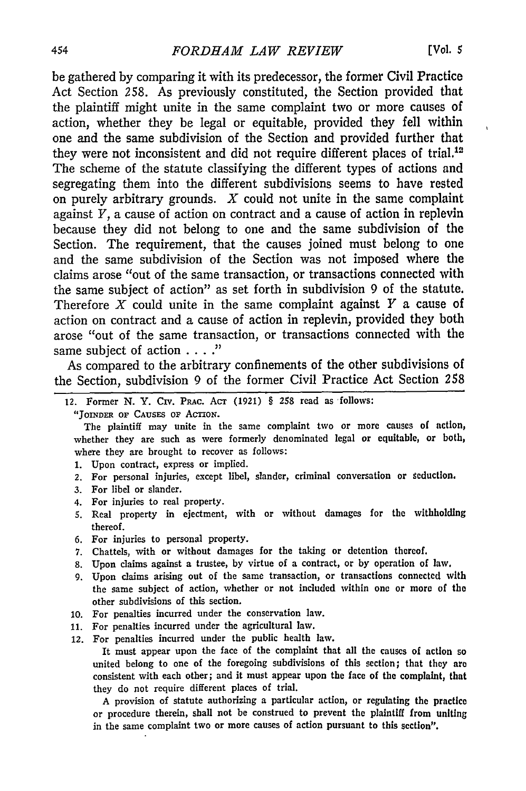be gathered by comparing it with its predecessor, the former Civil Practice Act Section 258. As previously constituted, the Section provided that the plaintiff might unite in the same complaint two or more causes of action, whether they be legal or equitable, provided they fell within one and the same subdivision of the Section and provided further that they were not inconsistent and did not require different places of trial.<sup>12</sup> The scheme of the statute classifying the different types of actions and segregating them into the different subdivisions seems to have rested on purely arbitrary grounds.  $X$  could not unite in the same complaint against *Y,* a cause of action on contract and a cause of action in replevin because they did not belong to one and the same subdivision of the Section. The requirement, that the causes joined must belong to one and the same subdivision of the Section was not imposed where the claims arose "out of the same transaction, or transactions connected with the same subject of action" as set forth in subdivision 9 of the statute. Therefore X could unite in the same complaint against *Y* a cause of action on contract and a cause of action in replevin, provided they both arose "out of the same transaction, or transactions connected with the same subject of action **...."**

As compared to the arbitrary confinements of the other subdivisions of the Section, subdivision 9 of the former Civil Practice Act Section 258

- 12. Former N. Y. Civ. PRAc. AcT (1921) § 258 read as follows:
	- "JOINDER OF CAUSES OF ACTION.

The plaintiff may unite in the same complaint two or more causes of action, whether they are such as were formerly denominated legal or equitable, or both, where they are brought to recover as follows:

- 1. Upon contract, express or implied.
- 2. For personal injuries, except libel, slander, criminal conversation or seduction.
- 3. For libel or slander.
- 4. For injuries to real property.
- 5. Real property in ejectment, with or without damages for **the** withholding thereof.
- 6. For injuries to personal property.
- 7. Chattels, with or without damages for the taking or detention thereof.
- **8.** Upon claims against a trustee, **by** virtue of a contract, or by operation of law,
- 9. Upon claims arising out of the same transaction, or transactions connected with the same subject of action, whether or not included within one or more of the other subdivisions of this section.
- 10. For penalties incurred under the conservation law.
- 11. For penalties incurred under the agricultural law.
- 12. For penalties incurred under the public health law.

It must appear upon the face of the complaint that all the causes of action so united belong to one of the foregoing subdivisions of this section; that they **are** consistent with each other; and it must appear upon the face of the complaint, that they do not require different places of trial.

A provision of statute authorizing a particular action, or regulating the practice or procedure therein, shall not be construed to prevent the plaintiff from uniting in the same complaint two or more causes of action pursuant to this section".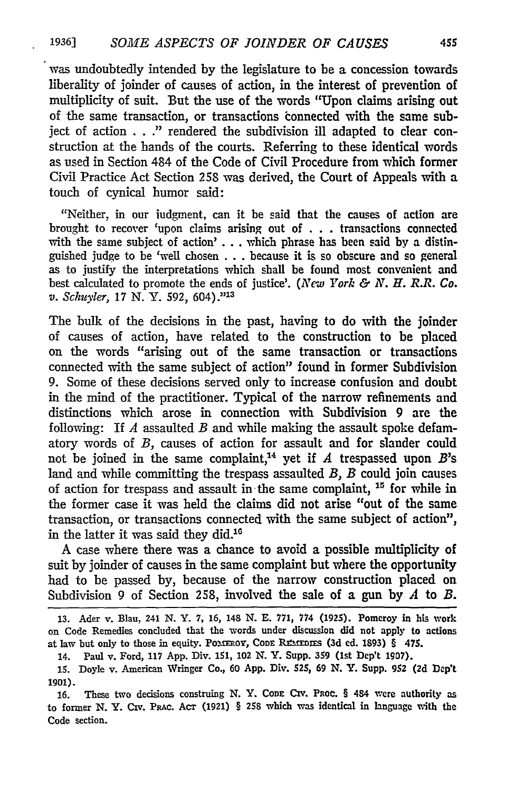was undoubtedly intended by the legislature to be a concession towards liberality of joinder of causes of action, in the interest of prevention of multiplicity of suit. But the use of the words "Upon claims arising out of the same transaction, or transactions connected with the same subject of action . . ." rendered the subdivision ill adapted to clear construction at the hands of the courts. Referring to these identical words as used in Section 484 of the Code of Civil Procedure from which former Civil Practice Act Section **258** was derived, the Court of Appeals with a touch of cynical humor said:

"Neither, in our iudgment, can it be said that the causes of action are brought to recover 'upon claims arising out of ... transactions connected with the same subject of action' . **.**. which phrase has been said **by** a distinguished judge to be 'well chosen .**..** because it is so obscure and so general as to justify the interpretations which shall be found most convenient and best calculated to promote the ends of justice'. *(New York & N. H. R.R. Co. v. Schuyler,* **17 N.** Y. **592,** 604)." <sup>13</sup>

The bulk of the decisions in the past, having to do with the joinder of causes of action, have related to the construction to be placed on the words "arising out of the same transaction or transactions connected with the same subject of action" found in former Subdivision **9.** Some of these decisions served only to increase confusion and doubt in the mind of the practitioner. Typical of the narrow refinements and distinctions which arose in connection with Subdivision 9 are the following: If *A* assaulted *B* and while making the assault spoke defamatory words of *B,* causes of action for assault and for slander could not be joined in the same complaint,<sup>14</sup> yet if  $A$  trespassed upon  $B$ 's land and while committing the trespass assaulted *B, B* could join causes of action for trespass and assault in the same complaint, **11** for while in the former case it was held the claims did not arise "out of the same transaction, or transactions connected with the same subject of action", in the latter it was said they did.<sup>16</sup>

**A** case where there was a chance to avoid a possible multiplicity of suit **by** joinder of causes in the same complaint but where the opportunity had to be passed **by,** because of the narrow construction placed on Subdivision 9 of Section **258,** involved the sale of a gun **by** *A* to *B.*

**<sup>13.</sup>** Ader v. Blau, 241 *N.* Y. **7, 16,** 148 **N. E. 771, 774 (1925).** Pomeroy in his work on Code Remedies concluded that the words under discussion did not apply to actions at law but only to those in equity. POMEROY, CODE REMEDIES (3d ed. 1893) § 475.

<sup>14.</sup> Paul v. Ford, **117 App.** Div. **151,** 102 **N.** Y. Supp. **359** (Ist Dep't **1907).**

**<sup>15.</sup>** Doyle v. American Wringer Co., **60 App.** Div. **525, 69 N.** Y. Supp. 952 **(2d** Dep't **1901).**

**<sup>16.</sup>** These two decisions construing **N.** Y. **CODE CIV.** PRoC. § 484 were authority as to former N. Y. Civ. PRAc. **AcT (1921)** § 258 which was identical in language with the Code section.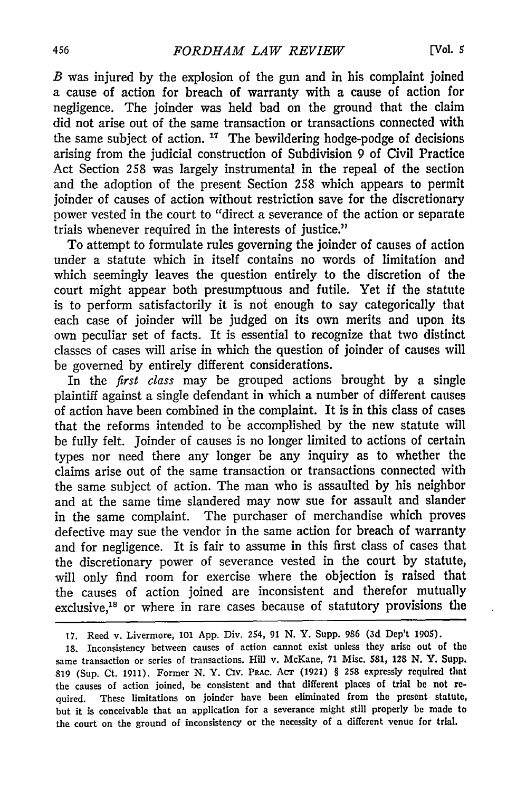*B* was injured by the explosion of the gun and in his complaint joined a cause of action for breach of warranty with a cause of action **for** negligence. The joinder was held bad on the ground that the claim did not arise out of the same transaction or transactions connected with the same subject of action.  $17$  The bewildering hodge-podge of decisions arising from the judicial construction of Subdivision 9 of Civil Practice Act Section **258** was largely instrumental in the repeal of the section and the adoption of the present Section 258 which appears to permit joinder of causes of action without restriction save for the discretionary power vested in the court to "direct a severance of the action or separate trials whenever required in the interests of justice."

To attempt to formulate rules governing the joinder of causes of action under a statute which in itself contains no words of limitation and which seemingly leaves the question entirely to the discretion of the court might appear both presumptuous and futile. Yet if the statute is to perform satisfactorily it is not enough to say categorically that each case of joinder will be judged on its own merits and upon its own peculiar set of facts. It is essential to recognize that two distinct classes of cases will arise in which the question of joinder of causes will be governed by entirely different considerations.

In the *first class* may be grouped actions brought by a single plaintiff against a single defendant in which a number of different causes of action have been combined in the complaint. It is in this class of cases that the reforms intended to be accomplished by the new statute will be fully felt. Joinder of causes is no longer limited to actions of certain types nor need there any longer be any inquiry as to whether the claims arise out of the same transaction or transactions connected with the same subject of action. The man who is assaulted by his neighbor and at the same time slandered may now sue for assault and slander in the same complaint. The purchaser of merchandise which proves defective may sue the vendor in the same action for breach of warranty and for negligence. It is fair to assume in this first class of cases that the discretionary power of severance vested in the court by statute, will only find room for exercise where the objection is raised that the causes of action joined are inconsistent and therefor mutually exclusive,<sup>18</sup> or where in rare cases because of statutory provisions the

18. Inconsistency between causes of action cannot exist unless they arise out of the same transaction or series of transactions. Hill v. McKane, **71** Misc. **581, 128 N.** Y. Supp. 819 (Sup. Ct. 1911). Former N. Y. **CIV.** PRAc. *Act* (1921) § **258** expressly required that the causes of action joined, he consistent and that different places of trial **be** not required. These limitations on joinder have been eliminated from the present statute, but it is conceivable that an application for a severance might still properly **be** made to the court on the ground of inconsistency or the necessity of a different venue for trial.

<sup>17.</sup> Reed v. Livermore, **101** App. Div. 254, 91 N. Y. Supp. 986 (3d Dep't 1905).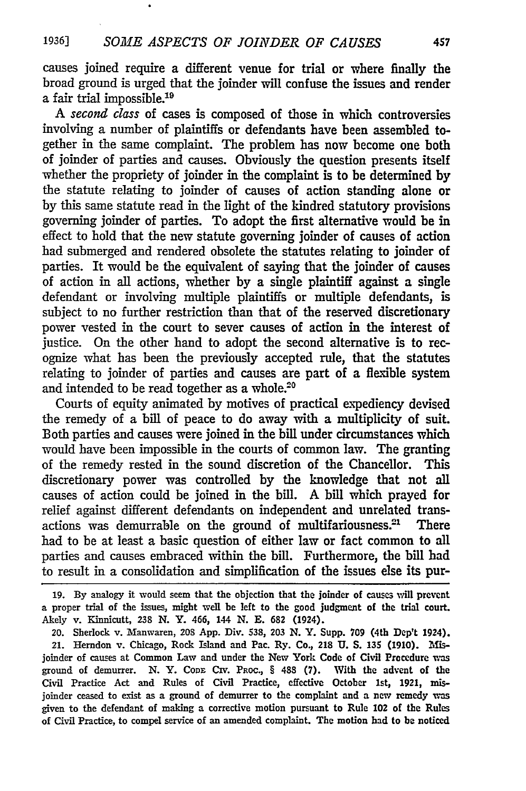causes joined require a different venue for trial or where finally the broad ground is urged that the joinder will confuse the issues and render a fair trial impossible.<sup>19</sup>

*A* second class of cases is composed of those in which controversies involving a number of plaintiffs or defendants have been assembled together in the same complaint. The problem has now become one both of joinder of parties and causes. Obviously the question presents itself whether the propriety of joinder in the complaint is to be determined by the statute relating to joinder of causes of action standing alone or by this same statute read in the light of the kindred statutory provisions governing joinder of parties. To adopt the first alternative would be in effect to hold that the new statute governing joinder of causes of action had submerged and rendered obsolete the statutes relating to joinder of parties. It would be the equivalent of saying that the joinder of causes of action in all actions, whether by a single plaintiff against a single defendant or involving multiple plaintiffs or multiple defendants, is subject to no further restriction than that of the reserved discretionary power vested in the court to sever causes of action in the interest of justice. On the other hand to adopt the second alternative is to recognize what has been the previously accepted rule, that the statutes relating to joinder of parties and causes are part of a flexible system and intended to be read together as a whole.<sup>20</sup>

Courts of equity animated by motives of practical expediency devised the remedy of a bill of peace to do away with a multiplicity of suit. Both parties and causes were joined in the bill under circumstances which would have been impossible in the courts of common law. The granting of the remedy rested in the sound discretion of the Chancellor. This discretionary power was controlled by the knowledge that not all causes of action could be joined in the bill. A bill which prayed for relief against different defendants on independent and unrelated transactions was demurrable on the ground of multifariousness. $21$  There had to be at least a basic question of either law or fact common to all parties and causes embraced within the bill. Furthermore, the bill had to result in a consolidation and simplification of the issues else its pur-

**19. By** analogy it would seem that the objection that the joinder of causes vill prevent a proper trial of the issues, might well be left to the good judgment of the trial court. Akely v. Kinnicutt, **238** N. Y. 466, 144 **N. E. 682** (1924).

20. Sherlock v. Mlanwaren, **208** App. Div. 538, **203** N. Y. Supp. **709** (4th Dep't 1924). 21. Herndon v. Chicago, Rock Island and Pac. Ry. Co., 218 U. S. 135 (1910). Misjoinder of causes at Common Law and under the New York Code of Civil Procedure was ground of demurrer. N. Y. **CODE** CIv. **Paoc.,** § **488 (7).** With the advent of the Civil Practice Act and Rules of Civil Practice, effective October 1st, **1921,** misjoinder ceased to exist as a ground of demurrer to the complaint and a new remedy **was** given to the defendant of making a corrective motion pursuant to Rule 102 of the Rules of Civil Practice, to compel service of an amended complaint. The motion had to **be** noticed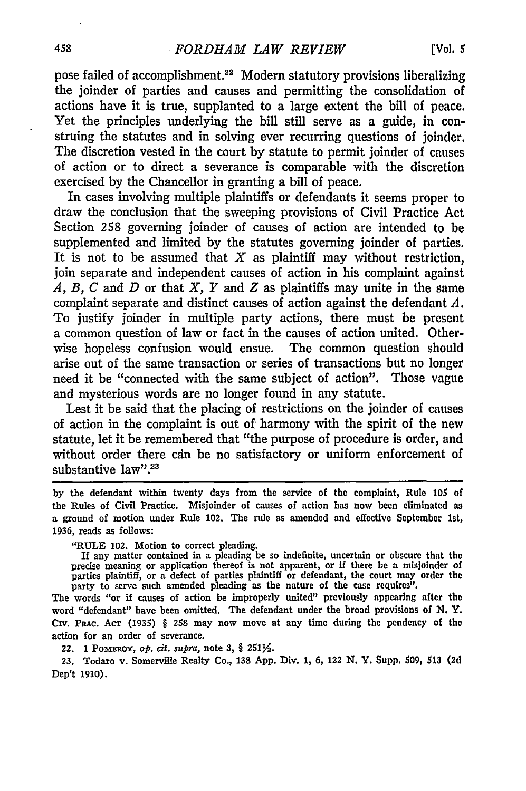pose failed of accomplishment.<sup>22</sup> Modern statutory provisions liberalizing the joinder of parties and causes and permitting the consolidation of actions have it is true, supplanted to a large extent the bill of peace. Yet the principles underlying the bill still serve as a guide, in construing the statutes and in solving ever recurring questions of joinder. The discretion vested in the court by statute to permit joinder of causes of action or to direct a severance is comparable with the discretion exercised by the Chancellor in granting a bill of peace.

In cases involving multiple plaintiffs or defendants it seems proper to draw the conclusion that the sweeping provisions of Civil Practice Act Section 258 governing joinder of causes of action are intended to be supplemented and limited by the statutes governing joinder of parties. It is not to be assumed that  $X$  as plaintiff may without restriction, join separate and independent causes of action in his complaint against *A, B, C* and *D* or that *X, Y* and *Z* as plaintiffs may unite in the same complaint separate and distinct causes of action against the defendant *A.* To justify joinder in multiple party actions, there must be present a common question of law or fact in the causes of action united. Otherwise hopeless confusion would ensue. The common question should arise out of the same transaction or series of transactions but no longer need it be "connected with the same subject of action". Those vague and mysterious words are no longer found in any statute.

Lest it be said that the placing of restrictions on the joinder of causes of action in the complaint is out of harmony with the spirit of the new statute, let it be remembered that "the purpose of procedure is order, and without order there cdn be no satisfactory or uniform enforcement of substantive law".<sup>23</sup>

by the defendant within twenty days from the service of the complaint, Rule **105** of the Rules of Civil Practice. Misjoinder of causes of action has now been eliminated as a ground of motion under Rule 102. The rule as amended and effective September 1st, 1936, reads as follows:

"RULE 102. Motion to correct pleading. If any matter contained in a pleading be so indefinite, uncertain or obscure that the precise meaning or application thereof is not apparent, or if there be a misjoinder of parties plaintiff, or a defect of parties plaintiff or defendant, the court may order the party to serve such amended pleading as the nature of the case requires".

The words "or **if** causes of action be improperly united" previously appearing after the word "defendant" have been omitted. The defendant under the broad provisions of **N. Y.** Civ. PRAc. Acr (1935) § 258 may now move at any time during the pendency of the action for an order of severance.

22. 1 Pomerox, *op. cit. supra*, note 3, § 2511/2.

**23.** Todaro v. Somerville Realty Co., **138 App.** Div. **1, 6,** 122 **N.** Y. Supp, **\$09, 513 (2d** Dep't **1910).**